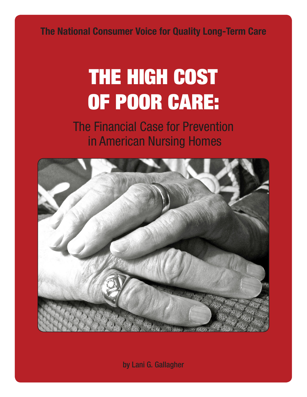The National Consumer Voice for Quality Long-Term Care

# THE HIGH COST OF POOR CARE:

The Financial Case for Prevention in American Nursing Homes



by Lani G. Gallagher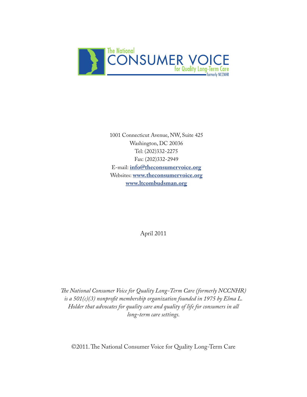

1001 Connecticut Avenue, NW, Suite 425 Washington, DC 20036 Tel: (202)332-2275 Fax: (202)332-2949 E-mail: **[info@theconsumervoice.org](mailto:info%40theconsumervoice.org?subject=)** Websites: **[www.theconsumervoice.org](http://www.theconsumervoice.org) [www.ltcombudsman.org](http://www.ltcombudsman.org)**

April 2011

*The National Consumer Voice for Quality Long-Term Care (formerly NCCNHR) is a 501(c)(3) nonprofit membership organization founded in 1975 by Elma L. Holder that advocates for quality care and quality of life for consumers in all long-term care settings.*

©2011. The National Consumer Voice for Quality Long-Term Care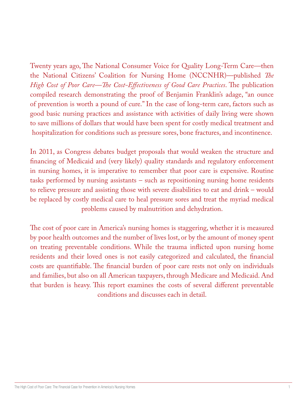Twenty years ago, The National Consumer Voice for Quality Long-Term Care—then the National Citizens' Coalition for Nursing Home (NCCNHR)—published *The High Cost of Poor Care—The Cost-Effectiveness of Good Care Practices*. The publication compiled research demonstrating the proof of Benjamin Franklin's adage, "an ounce of prevention is worth a pound of cure." In the case of long-term care, factors such as good basic nursing practices and assistance with activities of daily living were shown to save millions of dollars that would have been spent for costly medical treatment and hospitalization for conditions such as pressure sores, bone fractures, and incontinence.

In 2011, as Congress debates budget proposals that would weaken the structure and financing of Medicaid and (very likely) quality standards and regulatory enforcement in nursing homes, it is imperative to remember that poor care is expensive. Routine tasks performed by nursing assistants – such as repositioning nursing home residents to relieve pressure and assisting those with severe disabilities to eat and drink – would be replaced by costly medical care to heal pressure sores and treat the myriad medical problems caused by malnutrition and dehydration.

The cost of poor care in America's nursing homes is staggering, whether it is measured by poor health outcomes and the number of lives lost, or by the amount of money spent on treating preventable conditions. While the trauma inflicted upon nursing home residents and their loved ones is not easily categorized and calculated, the financial costs are quantifiable. The financial burden of poor care rests not only on individuals and families, but also on all American taxpayers, through Medicare and Medicaid. And that burden is heavy. This report examines the costs of several different preventable conditions and discusses each in detail.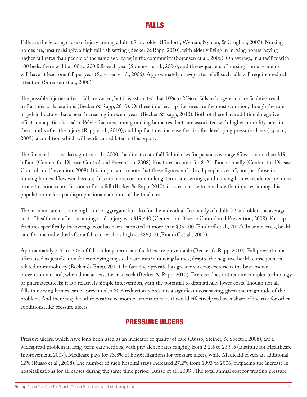### FALLS

Falls are the leading cause of injury among adults 65 and older (Findorff, Wyman, Nyman, & Croghan, 2007). Nursing homes are, unsurprisingly, a high fall risk setting (Becker & Rapp, 2010), with elderly living in nursing homes having higher fall rates than people of the same age living in the community (Sorensen et al., 2006). On average, in a facility with 100 beds, there will be 100 to 200 falls each year (Sorensen et al., 2006), and three-quarters of nursing home residents will have at least one fall per year (Sorensen et al., 2006). Approximately one-quarter of all such falls will require medical attention (Sorensen et al., 2006).

The possible injuries after a fall are varied, but it is estimated that 10% to 25% of falls in long-term care facilities result in fractures or lacerations (Becker & Rapp, 2010). Of these injuries, hip fractures are the most common, though the rates of pelvic fractures have been increasing in recent years (Becker & Rapp, 2010). Both of these have additional negative effects on a patient's health. Pelvic fractures among nursing home residents are associated with higher mortality rates in the months after the injury (Rapp et al., 2010), and hip fractures increase the risk for developing pressure ulcers (Lyman, 2009), a condition which will be discussed later in this report.

The financial cost is also significant. In 2000, the direct cost of all fall injuries for persons over age 65 was more than \$19 billion (Centers for Disease Control and Prevention, 2008). Fractures account for \$12 billion annually (Centers for Disease Control and Prevention, 2008). It is important to note that these figures include all people over 65, not just those in nursing homes. However, because falls are more common in long-term care settings, and nursing homes residents are more prone to serious complications after a fall (Becker & Rapp, 2010), it is reasonable to conclude that injuries among this population make up a disproportionate amount of the total costs.

The numbers are not only high in the aggregate, but also for the individual. In a study of adults 72 and older, the average cost of health care after sustaining a fall injury was \$19,440 (Centers for Disease Control and Prevention, 2008). For hip fractures specifically, the average cost has been estimated at more than \$35,000 (Findorff et al., 2007). In some cases, health care for one individual after a fall can reach as high as \$86,000 (Findorff et al., 2007).

Approximately 20% to 30% of falls in long-term care facilities are preventable (Becker & Rapp, 2010). Fall prevention is often used as justification for employing physical restraints in nursing homes, despite the negative health consequences related to immobility (Becker & Rapp, 2010). In fact, the opposite has greater success; exercise is the best known prevention method, when done at least twice a week (Becker & Rapp, 2010). Exercise does not require complex technology or pharmaceuticals; it is a relatively simple intervention, with the potential to dramatically lower costs. Though not all falls in nursing homes can be prevented, a 30% reduction represents a significant cost saving, given the magnitude of the problem. And there may be other positive economic externalities, as it would effectively reduce a share of the risk for other conditions, like pressure ulcers.

# PRESSURE ULCERS

Pressure ulcers, which have long been used as an indicator of quality of care (Russo, Steiner, & Spector, 2008), are a widespread problem in long-term care settings, with prevalence rates ranging from 2.2% to 23.9% (Institute for Healthcare Improvement, 2007). Medicare pays for 73.8% of hospitalizations for pressure ulcers, while Medicaid covers an additional 12% (Russo et al., 2008). The number of such hospital stays increased 27.2% from 1993 to 2006, outpacing the increase in hospitalizations for all causes during the same time period (Russo et al., 2008). The total annual cost for treating pressure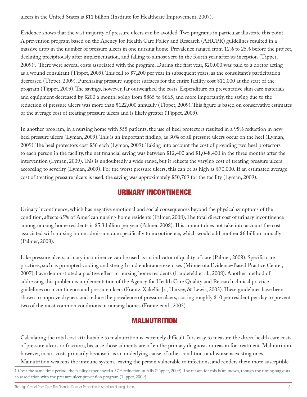ulcers in the United States is \$11 billion (Institute for Healthcare Improvement, 2007).

Evidence shows that the vast majority of pressure ulcers can be avoided. Two programs in particular illustrate this point. A prevention program based on the Agency for Health Care Policy and Research (AHCPR) guidelines resulted in a massive drop in the number of pressure ulcers in one nursing home. Prevalence ranged from 12% to 25% before the project, declining precipitously after implementation, and falling to almost zero in the fourth year after its inception (Tippet, 2009)1 . There were several costs associated with the program. During the first year, \$20,000 was paid to a doctor acting as a wound consultant (Tippet, 2009). This fell to \$7,200 per year in subsequent years, as the consultant's participation decreased (Tippet, 2009). Purchasing pressure support surfaces for the entire facility cost \$11,000 at the start of the program (Tippet, 2009). The savings, however, far outweighed the costs. Expenditure on preventative skin care materials and equipment decreased by \$200 a month, going from \$865 to \$665, and more importantly, the saving due to the reduction of pressure ulcers was more than \$122,000 annually (Tippet, 2009). This figure is based on conservative estimates of the average cost of treating pressure ulcers and is likely greater (Tippet, 2009).

In another program, in a nursing home with 555 patients, the use of heel protectors resulted in a 95% reduction in new heel pressure ulcers (Lyman, 2009). This is an important finding, as 30% of all pressure ulcers occur on the heel (Lyman, 2009). The heel protectors cost \$56 each (Lyman, 2009). Taking into account the cost of providing two heel protectors to each person in the facility, the net financial saving was between \$12,400 and \$1,048,400 in the three months after the intervention (Lyman, 2009). This is undoubtedly a wide range, but it reflects the varying cost of treating pressure ulcers according to severity (Lyman, 2009). For the worst pressure ulcers, this can be as high as \$70,000. If an estimated average cost of treating pressure ulcers is used, the saving was approximately \$50,769 for the facility (Lyman, 2009).

#### URINARY INCONTINENCE

Urinary incontinence, which has negative emotional and social consequences beyond the physical symptoms of the condition, affects 65% of American nursing home residents (Palmer, 2008). The total direct cost of urinary incontinence among nursing home residents is \$5.3 billion per year (Palmer, 2008). This amount does not take into account the cost associated with nursing home admission due specifically to incontinence, which would add another \$6 billion annually (Palmer, 2008).

Like pressure ulcers, urinary incontinence can be used as an indicator of quality of care (Palmer, 2008). Specific care practices, such as prompted voiding and strength and endurance exercises (Minnesota Evidence-Based Practice Center, 2007), have demonstrated a positive effect in nursing home residents (Landefeld et al., 2008). Another method of addressing this problem is implementation of the Agency for Health Care Quality and Research clinical practice guidelines on incontinence and pressure ulcers (Frantz, Xakellis Jr., Harvey, & Lewis, 2003). These guidelines have been shown to improve dryness and reduce the prevalence of pressure ulcers, costing roughly \$10 per resident per day to prevent two of the most common conditions in nursing homes (Frantz et al., 2003).

# MALNUTRITION

Calculating the total cost attributable to malnutrition is extremely difficult. It is easy to measure the direct health care costs of pressure ulcers or fractures, because those ailments are often the primary diagnosis or reason for treatment. Malnutrition, however, incurs costs primarily because it is an underlying cause of other conditions and worsens existing ones.

Malnutrition weakens the immune system, leaving the person vulnerable to infections, and renders them more susceptible

1 Over the same time period, the facility experienced a 37% reduction in falls (Tippet, 2009). The reason for this is unknown, though the timing suggests an association with the pressure ulcer prevention program (Tippet, 2009).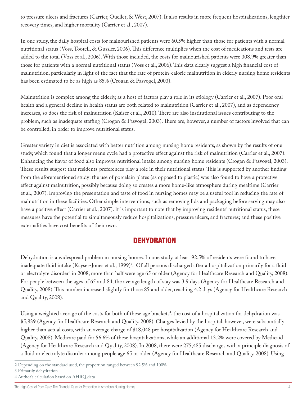to pressure ulcers and fractures (Carrier, Ouellet, & West, 2007). It also results in more frequent hospitalizations, lengthier recovery times, and higher mortality (Carrier et al., 2007).

In one study, the daily hospital costs for malnourished patients were 60.5% higher than those for patients with a normal nutritional status (Voss, Tootell, & Gussler, 2006). This difference multiplies when the cost of medications and tests are added to the total (Voss et al., 2006). With those included, the costs for malnourished patients were 308.9% greater than those for patients with a normal nutritional status (Voss et al., 2006). This data clearly suggest a high financial cost of malnutrition, particularly in light of the fact that the rate of protein-calorie malnutrition in elderly nursing home residents has been estimated to be as high as 85% (Crogan & Pasvogel, 2003).

Malnutrition is complex among the elderly, as a host of factors play a role in its etiology (Carrier et al., 2007). Poor oral health and a general decline in health status are both related to malnutrition (Carrier et al., 2007), and as dependency increases, so does the risk of malnutrition (Kaiser et al., 2010). There are also institutional issues contributing to the problem, such as inadequate staffing (Crogan & Pasvogel, 2003). There are, however, a number of factors involved that can be controlled, in order to improve nutritional status.

Greater variety in diet is associated with better nutrition among nursing home residents, as shown by the results of one study, which found that a longer menu cycle had a protective effect against the risk of malnutrition (Carrier et al., 2007). Enhancing the flavor of food also improves nutritional intake among nursing home residents (Crogan & Pasvogel, 2003). These results suggest that residents' preferences play a role in their nutritional status. This is supported by another finding from the aforementioned study: the use of porcelain plates (as opposed to plastic) was also found to have a protective effect against malnutrition, possibly because doing so creates a more home-like atmosphere during mealtime (Carrier et al., 2007). Improving the presentation and taste of food in nursing homes may be a useful tool in reducing the rate of malnutrition in these facilities. Other simple interventions, such as removing lids and packaging before serving may also have a positive effect (Carrier et al., 2007). It is important to note that by improving residents' nutritional status, these measures have the potential to simultaneously reduce hospitalizations, pressure ulcers, and fractures; and these positive externalities have cost benefits of their own.

#### **DEHYDRATION**

Dehydration is a widespread problem in nursing homes. In one study, at least 92.5% of residents were found to have inadequate fluid intake (Kayser-Jones et al., 1999)<sup>2</sup>. Of all persons discharged after a hospitalization primarily for a fluid or electrolyte disorder<sup>3</sup> in 2008, more than half were age 65 or older (Agency for Healthcare Research and Quality, 2008). For people between the ages of 65 and 84, the average length of stay was 3.9 days (Agency for Healthcare Research and Quality, 2008). This number increased slightly for those 85 and older, reaching 4.2 days (Agency for Healthcare Research and Quality, 2008).

Using a weighted average of the costs for both of these age brackets<sup>4</sup>, the cost of a hospitalization for dehydration was \$5,839 (Agency for Healthcare Research and Quality, 2008). Charges levied by the hospital, however, were substantially higher than actual costs, with an average charge of \$18,048 per hospitalization (Agency for Healthcare Research and Quality, 2008). Medicare paid for 56.6% of these hospitalizations, while an additional 13.2% were covered by Medicaid (Agency for Healthcare Research and Quality, 2008). In 2008, there were 275,485 discharges with a principle diagnosis of a fluid or electrolyte disorder among people age 65 or older (Agency for Healthcare Research and Quality, 2008). Using

<sup>2</sup> Depending on the standard used, the proportion ranged between 92.5% and 100%.

<sup>3</sup> Primarily dehydration

<sup>4</sup> Author's calculation based on AHRQ data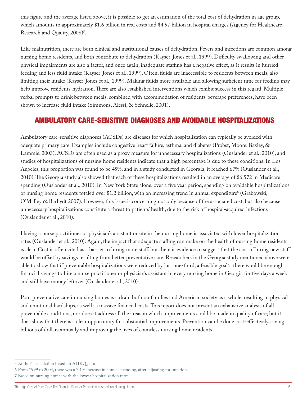this figure and the average listed above, it is possible to get an estimation of the total cost of dehydration in age group, which amounts to approximately \$1.6 billion in real costs and \$4.97 billion in hospital charges (Agency for Healthcare Research and Quality, 2008)<sup>5</sup>.

Like malnutrition, there are both clinical and institutional causes of dehydration. Fevers and infections are common among nursing home residents, and both contribute to dehydration (Kayser-Jones et al., 1999). Difficulty swallowing and other physical impairments are also a factor, and once again, inadequate staffing has a negative effect, as it results in hurried feeding and less fluid intake (Kayser-Jones et al., 1999). Often, fluids are inaccessible to residents between meals, also limiting their intake (Kayser-Jones et al., 1999). Making fluids more available and allowing sufficient time for feeding may help improve residents' hydration. There are also established interventions which exhibit success in this regard. Multiple verbal prompts to drink between meals, combined with accommodation of residents' beverage preferences, have been shown to increase fluid intake (Simmons, Alessi, & Schnelle, 2001).

### AMBULATORY CARE-SENSITIVE DIAGNOSES AND AVOIDABLE HOSPITALIZATIONS

Ambulatory care-sensitive diagnoses (ACSDs) are diseases for which hospitalization can typically be avoided with adequate primary care. Examples include congestive heart failure, asthma, and diabetes (Probst, Moore, Baxley, & Lammie, 2003). ACSDs are often used as a proxy measure for unnecessary hospitalizations (Ouslander et al., 2010), and studies of hospitalizations of nursing home residents indicate that a high percentage is due to these conditions. In Los Angeles, this proportion was found to be 45%, and in a study conducted in Georgia, it reached 67% (Ouslander et al., 2010). The Georgia study also showed that each of these hospitalizations resulted in an average of \$6,572 in Medicare spending (Ouslander et al., 2010). In New York State alone, over a five year period, spending on avoidable hospitalizations of nursing home residents totaled over \$1.2 billion, with an increasing trend in annual expenditure<sup>6</sup> (Grabowski, O'Malley & Barhydt 2007). However, this issue is concerning not only because of the associated cost, but also because unnecessary hospitalizations constitute a threat to patients' health, due to the risk of hospital-acquired infections (Ouslander et al., 2010).

Having a nurse practitioner or physician's assistant onsite in the nursing home is associated with lower hospitalization rates (Ouslander et al., 2010). Again, the impact that adequate staffing can make on the health of nursing home residents is clear. Cost is often cited as a barrier to hiring more staff, but there is evidence to suggest that the cost of hiring new staff would be offset by savings resulting from better preventative care. Researchers in the Georgia study mentioned above were able to show that if preventable hospitalizations were reduced by just one-third, a feasible goal<sup>7</sup>, there would be enough financial savings to hire a nurse practitioner or physician's assistant in every nursing home in Georgia for five days a week and still have money leftover (Ouslander et al., 2010).

Poor preventative care in nursing homes is a drain both on families and American society as a whole, resulting in physical and emotional hardships, as well as massive financial costs. This report does not present an exhaustive analysis of all preventable conditions, nor does it address all the areas in which improvements could be made in quality of care; but it does show that there is a clear opportunity for substantial improvements. Prevention can be done cost-effectively, saving billions of dollars annually and improving the lives of countless nursing home residents.

<sup>5</sup> Author's calculation based on AHRQ data

<sup>6</sup> From 1999 to 2004, there was a 7.1% increase in annual spending, after adjusting for inflation.

<sup>7</sup> Based on nursing homes with the lowest hospitalization rates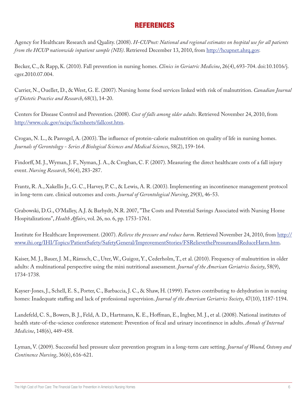## REFERENCES

Agency for Healthcare Research and Quality. (2008). *H-CUPnet: National and regional estimates on hospital use for all patients from the HCUP nationwide inpatient sample (NIS)*. Retrieved December 13, 2010, from [http://hcupnet.ahrq.gov.](http://hcupnet.ahrq.gov)

Becker, C., & Rapp, K. (2010). Fall prevention in nursing homes. *Clinics in Geriatric Medicine*, 26(4), 693-704. doi:10.1016/j. cger.2010.07.004.

Carrier, N., Ouellet, D., & West, G. E. (2007). Nursing home food services linked with risk of malnutrition. *Canadian Journal of Dietetic Practice and Research*, 68(1), 14-20.

Centers for Disease Control and Prevention. (2008). *Cost of falls among older adults*. Retrieved November 24, 2010, from [http://www.cdc.gov/ncipc/factsheets/fallcost.htm.](http://www.cdc.gov/ncipc/factsheets/fallcost.htm)

Crogan, N. L., & Pasvogel, A. (2003). The influence of protein-calorie malnutrition on quality of life in nursing homes. *Journals of Gerontology - Series A Biological Sciences and Medical Sciences*, 58(2), 159-164.

Findorff, M. J., Wyman, J. F., Nyman, J. A., & Croghan, C. F. (2007). Measuring the direct healthcare costs of a fall injury event. *Nursing Research*, 56(4), 283-287.

Frantz, R. A., Xakellis Jr., G. C., Harvey, P. C., & Lewis, A. R. (2003). Implementing an incontinence management protocol in long-term care. clinical outcomes and costs. *Journal of Gerontological Nursing*, 29(8), 46-53.

Grabowski, D.G., O'Malley, A.J. & Barhydt, N.R. 2007, "The Costs and Potential Savings Associated with Nursing Home Hospitalizations", *Health Affairs*, vol. 26, no. 6, pp. 1753-1761.

Institute for Healthcare Improvement. (2007). *Relieve the pressure and reduce harm*. Retrieved November 24, 2010, from [http://](http://www.ihi.org/IHI/Topics/PatientSafety/SafetyGeneral/ImprovementStories/FSRelievethePressureandReduceHarm.htm) [www.ihi.org/IHI/Topics/PatientSafety/SafetyGeneral/ImprovementStories/FSRelievethePressureandReduceHarm.htm](http://www.ihi.org/IHI/Topics/PatientSafety/SafetyGeneral/ImprovementStories/FSRelievethePressureandReduceHarm.htm).

Kaiser, M. J., Bauer, J. M., Rämsch, C., Uter, W., Guigoz, Y., Cederholm, T., et al. (2010). Frequency of malnutrition in older adults: A multinational perspective using the mini nutritional assessment. *Journal of the American Geriatrics Society*, 58(9), 1734-1738.

Kayser-Jones, J., Schell, E. S., Porter, C., Barbaccia, J. C., & Shaw, H. (1999). Factors contributing to dehydration in nursing homes: Inadequate staffing and lack of professional supervision. *Journal of the American Geriatrics Society*, 47(10), 1187-1194.

Landefeld, C. S., Bowers, B. J., Feld, A. D., Hartmann, K. E., Hoffman, E., Ingber, M. J., et al. (2008). National institutes of health state-of-the-science conference statement: Prevention of fecal and urinary incontinence in adults. *Annals of Internal Medicine*, 148(6), 449-458.

Lyman, V. (2009). Successful heel pressure ulcer prevention program in a long-term care setting. *Journal of Wound, Ostomy and Continence Nursing*, 36(6), 616-621.